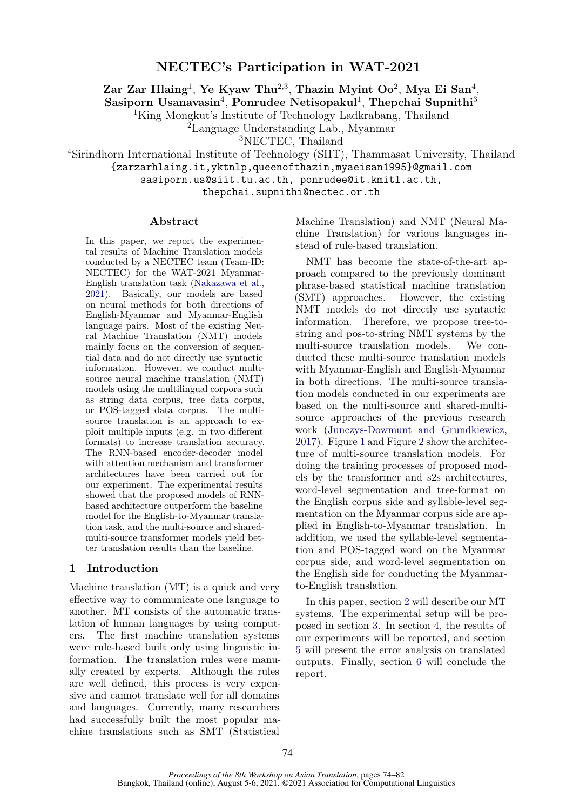# **NECTEC's Participation in WAT-2021**

**Zar Zar Hlaing**<sup>1</sup> , **Ye Kyaw Thu**2,3 , **Thazin Myint Oo**<sup>2</sup> , **Mya Ei San**<sup>4</sup> ,

Sasiporn Usanavasin<sup>4</sup>, Ponrudee Netisopakul<sup>1</sup>, Thepchai Supnithi<sup>3</sup>

<sup>1</sup>King Mongkut's Institute of Technology Ladkrabang, Thailand

<sup>2</sup>Language Understanding Lab., Myanmar

<sup>3</sup>NECTEC, Thailand

<sup>4</sup>Sirindhorn International Institute of Technology (SIIT), Thammasat University, Thailand

{zarzarhlaing.it,yktnlp,queenofthazin,myaeisan1995}@gmail.com

sasiporn.us@siit.tu.ac.th, ponrudee@it.kmitl.ac.th,

thepchai.supnithi@nectec.or.th

#### **Abstract**

In this paper, we report the experimental results of Machine Translation models conducted by a NECTEC team (Team-ID: NECTEC) for the WAT-2021 Myanmar-English translation task ([Nakazawa et al.,](#page-8-0) [2021\)](#page-8-0). Basically, our models are based on neural methods for both directions of English-Myanmar and Myanmar-English language pairs. Most of the existing Neural Machine Translation (NMT) models mainly focus on the conversion of sequential data and do not directly use syntactic information. However, we conduct multisource neural machine translation (NMT) models using the multilingual corpora such as string data corpus, tree data corpus, or POS-tagged data corpus. The multisource translation is an approach to exploit multiple inputs (e.g. in two different formats) to increase translation accuracy. The RNN-based encoder-decoder model with attention mechanism and transformer architectures have been carried out for our experiment. The experimental results showed that the proposed models of RNNbased architecture outperform the baseline model for the English-to-Myanmar translation task, and the multi-source and sharedmulti-source transformer models yield better translation results than the baseline.

#### **1 Introduction**

Machine translation (MT) is a quick and very effective way to communicate one language to another. MT consists of the automatic translation of human languages by using computers. The first machine translation systems were rule-based built only using linguistic information. The translation rules were manually created by experts. Although the rules are well defined, this process is very expensive and cannot translate well for all domains and languages. Currently, many researchers had successfully built the most popular machine translations such as SMT (Statistical

Machine Translation) and NMT (Neural Machine Translation) for various languages instead of rule-based translation.

NMT has become the state-of-the-art approach compared to the previously dominant phrase-based statistical machine translation (SMT) approaches. However, the existing NMT models do not directly use syntactic information. Therefore, we propose tree-tostring and pos-to-string NMT systems by the multi-source translation models. We conducted these multi-source translation models with Myanmar-English and English-Myanmar in both directions. The multi-source translation models conducted in our experiments are based on the multi-source and shared-multisource approaches of the previous research work ([Junczys-Dowmunt and Grundkiewicz](#page-8-1), [2017](#page-8-1)). Figure [1](#page-1-0) and Figure [2](#page-1-1) show the architecture of multi-source translation models. For doing the training processes of proposed models by the transformer and s2s architectures, word-level segmentation and tree-format on the English corpus side and syllable-level segmentation on the Myanmar corpus side are applied in English-to-Myanmar translation. In addition, we used the syllable-level segmentation and POS-tagged word on the Myanmar corpus side, and word-level segmentation on the English side for conducting the Myanmarto-English translation.

In this paper, section [2](#page-1-2) will describe our MT systems. The experimental setup will be proposed in section [3.](#page-1-3) In section [4](#page-4-0), the results of our experiments will be reported, and section [5](#page-5-0) will present the error analysis on translated outputs. Finally, section [6](#page-7-0) will conclude the report.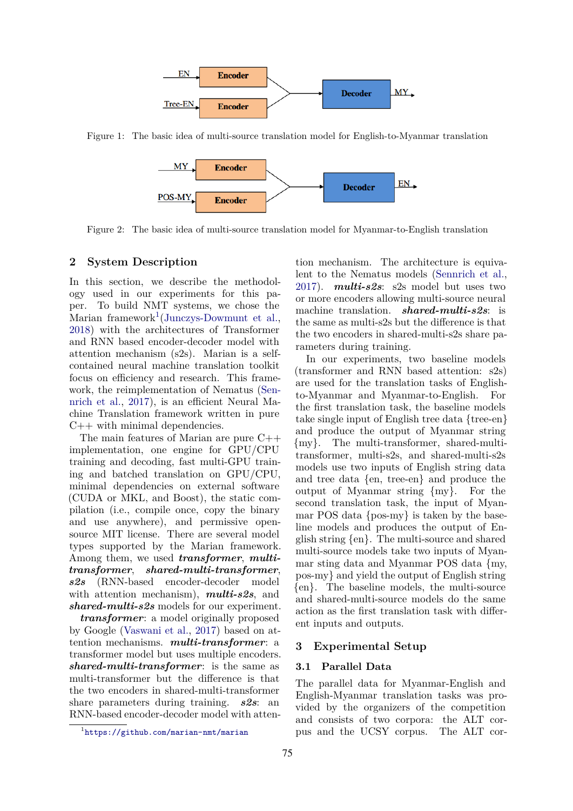<span id="page-1-0"></span>

<span id="page-1-1"></span>Figure 1: The basic idea of multi-source translation model for English-to-Myanmar translation



Figure 2: The basic idea of multi-source translation model for Myanmar-to-English translation

#### <span id="page-1-2"></span>**2 System Description**

In this section, we describe the methodology used in our experiments for this paper. To build NMT systems, we chose the Marian framework<sup>[1](#page-1-4)</sup>[\(Junczys-Dowmunt et al.,](#page-8-2) [2018\)](#page-8-2) with the architectures of Transformer and RNN based encoder-decoder model with attention mechanism (s2s). Marian is a selfcontained neural machine translation toolkit focus on efficiency and research. This framework, the reimplementation of Nematus [\(Sen](#page-8-3)[nrich et al.,](#page-8-3) [2017](#page-8-3)), is an efficient Neural Machine Translation framework written in pure  $C++$  with minimal dependencies.

The main features of Marian are pure C++ implementation, one engine for GPU/CPU training and decoding, fast multi-GPU training and batched translation on GPU/CPU, minimal dependencies on external software (CUDA or MKL, and Boost), the static compilation (i.e., compile once, copy the binary and use anywhere), and permissive opensource MIT license. There are several model types supported by the Marian framework. Among them, we used *transformer*, *multitransformer*, *shared-multi-transformer*, *s2s* (RNN-based encoder-decoder model with attention mechanism), *multi-s2s*, and *shared-multi-s2s* models for our experiment.

*transformer*: a model originally proposed by Google ([Vaswani et al.](#page-8-4), [2017\)](#page-8-4) based on attention mechanisms. *multi-transformer*: a transformer model but uses multiple encoders. *shared-multi-transformer*: is the same as multi-transformer but the difference is that the two encoders in shared-multi-transformer share parameters during training. *s2s*: an RNN-based encoder-decoder model with attention mechanism. The architecture is equivalent to the Nematus models [\(Sennrich et al.](#page-8-3), [2017](#page-8-3)). *multi-s2s*: s2s model but uses two or more encoders allowing multi-source neural machine translation. *shared-multi-s2s*: is the same as multi-s2s but the difference is that the two encoders in shared-multi-s2s share parameters during training.

In our experiments, two baseline models (transformer and RNN based attention: s2s) are used for the translation tasks of Englishto-Myanmar and Myanmar-to-English. For the first translation task, the baseline models take single input of English tree data {tree-en} and produce the output of Myanmar string {my}. The multi-transformer, shared-multitransformer, multi-s2s, and shared-multi-s2s models use two inputs of English string data and tree data {en, tree-en} and produce the output of Myanmar string {my}. For the second translation task, the input of Myanmar POS data {pos-my} is taken by the baseline models and produces the output of English string {en}. The multi-source and shared multi-source models take two inputs of Myanmar sting data and Myanmar POS data {my, pos-my} and yield the output of English string {en}. The baseline models, the multi-source and shared-multi-source models do the same action as the first translation task with different inputs and outputs.

#### <span id="page-1-3"></span>**3 Experimental Setup**

### **3.1 Parallel Data**

The parallel data for Myanmar-English and English-Myanmar translation tasks was provided by the organizers of the competition and consists of two corpora: the ALT corpus and the UCSY corpus. The ALT cor-

<span id="page-1-4"></span><sup>1</sup> <https://github.com/marian-nmt/marian>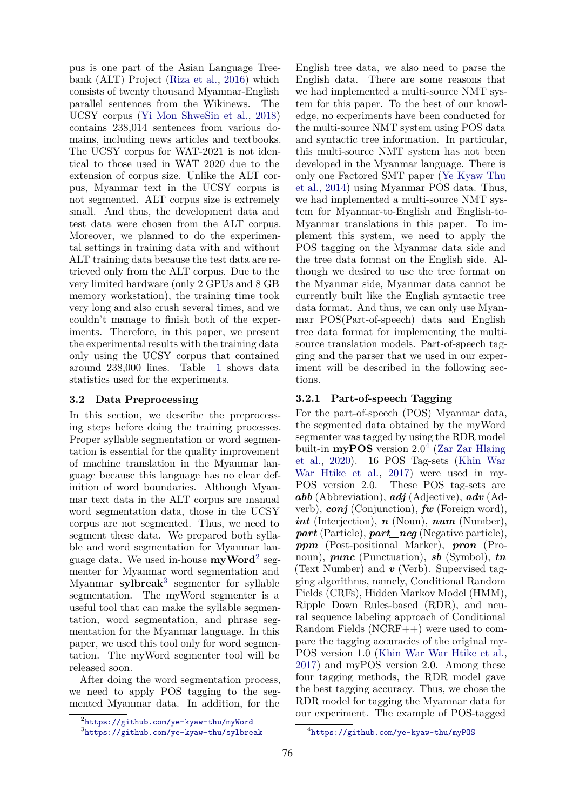pus is one part of the Asian Language Treebank (ALT) Project [\(Riza et al.,](#page-8-5) [2016\)](#page-8-5) which consists of twenty thousand Myanmar-English parallel sentences from the Wikinews. The UCSY corpus ([Yi Mon ShweSin et al.,](#page-8-6) [2018](#page-8-6)) contains 238,014 sentences from various domains, including news articles and textbooks. The UCSY corpus for WAT-2021 is not identical to those used in WAT 2020 due to the extension of corpus size. Unlike the ALT corpus, Myanmar text in the UCSY corpus is not segmented. ALT corpus size is extremely small. And thus, the development data and test data were chosen from the ALT corpus. Moreover, we planned to do the experimental settings in training data with and without ALT training data because the test data are retrieved only from the ALT corpus. Due to the very limited hardware (only 2 GPUs and 8 GB memory workstation), the training time took very long and also crush several times, and we couldn't manage to finish both of the experiments. Therefore, in this paper, we present the experimental results with the training data only using the UCSY corpus that contained around 238,000 lines. Table [1](#page-3-0) shows data statistics used for the experiments.

## **3.2 Data Preprocessing**

In this section, we describe the preprocessing steps before doing the training processes. Proper syllable segmentation or word segmentation is essential for the quality improvement of machine translation in the Myanmar language because this language has no clear definition of word boundaries. Although Myanmar text data in the ALT corpus are manual word segmentation data, those in the UCSY corpus are not segmented. Thus, we need to segment these data. We prepared both syllable and word segmentation for Myanmar language data. We used in-house **myWord**[2](#page-2-0) segmenter for Myanmar word segmentation and Myanmar **sylbreak**[3](#page-2-1) segmenter for syllable segmentation. The myWord segmenter is a useful tool that can make the syllable segmentation, word segmentation, and phrase segmentation for the Myanmar language. In this paper, we used this tool only for word segmentation. The myWord segmenter tool will be released soon.

After doing the word segmentation process, we need to apply POS tagging to the segmented Myanmar data. In addition, for the

English tree data, we also need to parse the English data. There are some reasons that we had implemented a multi-source NMT system for this paper. To the best of our knowledge, no experiments have been conducted for the multi-source NMT system using POS data and syntactic tree information. In particular, this multi-source NMT system has not been developed in the Myanmar language. There is only one Factored SMT paper [\(Ye Kyaw Thu](#page-8-7) [et al.](#page-8-7), [2014\)](#page-8-7) using Myanmar POS data. Thus, we had implemented a multi-source NMT system for Myanmar-to-English and English-to-Myanmar translations in this paper. To implement this system, we need to apply the POS tagging on the Myanmar data side and the tree data format on the English side. Although we desired to use the tree format on the Myanmar side, Myanmar data cannot be currently built like the English syntactic tree data format. And thus, we can only use Myanmar POS(Part-of-speech) data and English tree data format for implementing the multisource translation models. Part-of-speech tagging and the parser that we used in our experiment will be described in the following sections.

#### **3.2.1 Part-of-speech Tagging**

For the part-of-speech (POS) Myanmar data, the segmented data obtained by the myWord segmenter was tagged by using the RDR model built-in  $\bf{myPOS}$  version 2.0<sup>[4](#page-2-2)</sup> ([Zar Zar Hlaing](#page-8-8) [et al.,](#page-8-8) [2020](#page-8-8)). 16 POS Tag-sets [\(Khin War](#page-8-9) [War Htike et al.,](#page-8-9) [2017\)](#page-8-9) were used in my-POS version 2.0. These POS tag-sets are *abb* (Abbreviation), *adj* (Adjective), *adv* (Adverb), *conj* (Conjunction), *fw* (Foreign word), *int* (Interjection), *n* (Noun), *num* (Number), *part* (Particle), *part\_neg* (Negative particle), *ppm* (Post-positional Marker), *pron* (Pronoun), *punc* (Punctuation), *sb* (Symbol), *tn* (Text Number) and *v* (Verb). Supervised tagging algorithms, namely, Conditional Random Fields (CRFs), Hidden Markov Model (HMM), Ripple Down Rules-based (RDR), and neural sequence labeling approach of Conditional Random Fields (NCRF++) were used to compare the tagging accuracies of the original my-POS version 1.0 [\(Khin War War Htike et al.](#page-8-9), [2017](#page-8-9)) and myPOS version 2.0. Among these four tagging methods, the RDR model gave the best tagging accuracy. Thus, we chose the RDR model for tagging the Myanmar data for our experiment. The example of POS-tagged

<span id="page-2-0"></span><sup>2</sup> <https://github.com/ye-kyaw-thu/myWord>

<span id="page-2-1"></span><sup>3</sup> <https://github.com/ye-kyaw-thu/sylbreak>

<span id="page-2-2"></span><sup>4</sup> <https://github.com/ye-kyaw-thu/myPOS>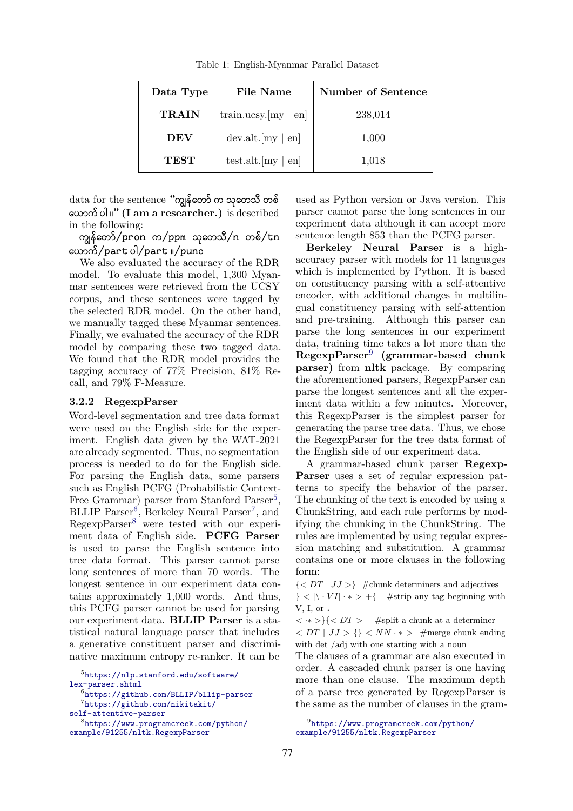<span id="page-3-0"></span>

| Data Type    | File Name                  | Number of Sentence |
|--------------|----------------------------|--------------------|
| <b>TRAIN</b> | train.ucsy. $[my \mid en]$ | 238,014            |
| <b>DEV</b>   | $dev. alt. [my \nvert en]$ | 1,000              |
| <b>TEST</b>  | test.alt. $[my \mid en]$   | 1,018              |

Table 1: English-Myanmar Parallel Dataset

data for the sentence "ကျွန်တော် က သုတေသီ တစ် äယßကé ပÞ ။" **(I am a researcher.)** is described in the following:

ကျွန်တော်/pron က/ppm သုတေသီ/n တစ်/ $tn$  $\frac{1}{2}$   $\frac{1}{2}$   $\frac{1}{2}$   $\frac{1}{2}$   $\frac{1}{2}$   $\frac{1}{2}$   $\frac{1}{2}$   $\frac{1}{2}$   $\frac{1}{2}$   $\frac{1}{2}$   $\frac{1}{2}$   $\frac{1}{2}$   $\frac{1}{2}$   $\frac{1}{2}$   $\frac{1}{2}$   $\frac{1}{2}$   $\frac{1}{2}$   $\frac{1}{2}$   $\frac{1}{2}$   $\frac{1}{2}$   $\frac{1}{2}$   $\frac{1}{2}$ 

We also evaluated the accuracy of the RDR model. To evaluate this model, 1,300 Myanmar sentences were retrieved from the UCSY corpus, and these sentences were tagged by the selected RDR model. On the other hand, we manually tagged these Myanmar sentences. Finally, we evaluated the accuracy of the RDR model by comparing these two tagged data. We found that the RDR model provides the tagging accuracy of 77% Precision, 81% Recall, and 79% F-Measure.

#### **3.2.2 RegexpParser**

Word-level segmentation and tree data format were used on the English side for the experiment. English data given by the WAT-2021 are already segmented. Thus, no segmentation process is needed to do for the English side. For parsing the English data, some parsers such as English PCFG (Probabilistic Context-Free Grammar) parser from Stanford Parser<sup>[5](#page-3-1)</sup>, BLLIP Parser<sup>[6](#page-3-2)</sup>, Berkeley Neural Parser<sup>[7](#page-3-3)</sup>, and RegexpParser<sup>[8](#page-3-4)</sup> were tested with our experiment data of English side. **PCFG Parser** is used to parse the English sentence into tree data format. This parser cannot parse long sentences of more than 70 words. The longest sentence in our experiment data contains approximately 1,000 words. And thus, this PCFG parser cannot be used for parsing our experiment data. **BLLIP Parser** is a statistical natural language parser that includes a generative constituent parser and discriminative maximum entropy re-ranker. It can be

used as Python version or Java version. This parser cannot parse the long sentences in our experiment data although it can accept more sentence length 853 than the PCFG parser.

**Berkeley Neural Parser** is a highaccuracy parser with models for 11 languages which is implemented by Python. It is based on constituency parsing with a self-attentive encoder, with additional changes in multilingual constituency parsing with self-attention and pre-training. Although this parser can parse the long sentences in our experiment data, training time takes a lot more than the **RegexpParser**[9](#page-3-5) **(grammar-based chunk parser)** from **nltk** package. By comparing the aforementioned parsers, RegexpParser can parse the longest sentences and all the experiment data within a few minutes. Moreover, this RegexpParser is the simplest parser for generating the parse tree data. Thus, we chose the RegexpParser for the tree data format of the English side of our experiment data.

 A grammar-based chunk parser **Regexp-Parser** uses a set of regular expression patterns to specify the behavior of the parser. The chunking of the text is encoded by using a ChunkString, and each rule performs by modifying the chunking in the ChunkString. The rules are implemented by using regular expression matching and substitution. A grammar contains one or more clauses in the following form:

 $\{ \}$  #chunk determiners and adjectives  $\}$  <  $[\n\cdot \nabla I] \cdot *$  > +{ #strip any tag beginning with V, I, or **.**

*< ·∗ >}{< DT >* #split a chunk at a determiner *< DT | JJ > {} < NN · ∗ >* #merge chunk ending

with det /adj with one starting with a noun

The clauses of a grammar are also executed in order. A cascaded chunk parser is one having more than one clause. The maximum depth of a parse tree generated by RegexpParser is the same as the number of clauses in the gram-

<span id="page-3-1"></span><sup>5</sup> [https://nlp.stanford.edu/software/](https://nlp.stanford.edu/software/lex-parser.shtml) [lex-parser.shtml](https://nlp.stanford.edu/software/lex-parser.shtml)

<span id="page-3-2"></span><sup>6</sup> <https://github.com/BLLIP/bllip-parser>

<span id="page-3-3"></span><sup>7</sup> [https://github.com/nikitakit/](https://github.com/nikitakit/self-attentive-parser)

[self-attentive-parser](https://github.com/nikitakit/self-attentive-parser)

<span id="page-3-4"></span><sup>8</sup> [https://www.programcreek.com/python/](https://www.programcreek.com/python/example/91255/nltk.RegexpParser) [example/91255/nltk.RegexpParser](https://www.programcreek.com/python/example/91255/nltk.RegexpParser)

<span id="page-3-5"></span><sup>9</sup> [https://www.programcreek.com/python/](https://www.programcreek.com/python/example/91255/nltk.RegexpParser) [example/91255/nltk.RegexpParser](https://www.programcreek.com/python/example/91255/nltk.RegexpParser)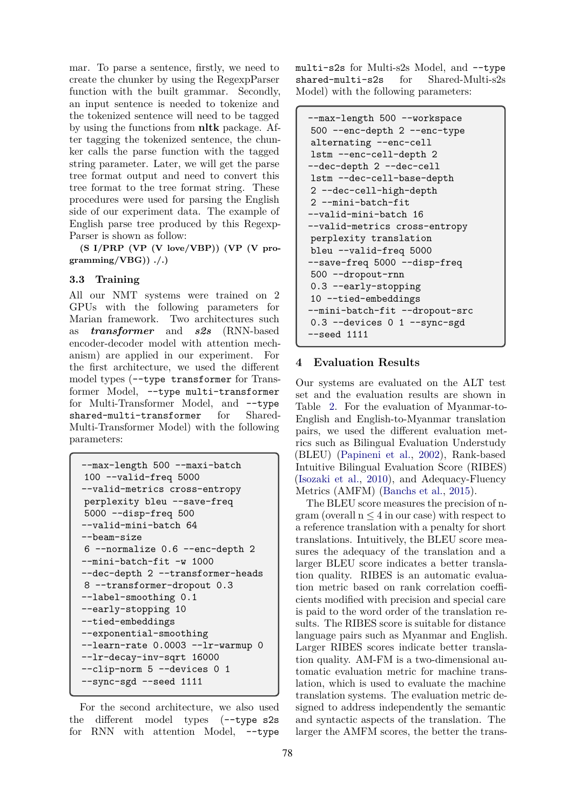mar. To parse a sentence, firstly, we need to create the chunker by using the RegexpParser function with the built grammar. Secondly, an input sentence is needed to tokenize and the tokenized sentence will need to be tagged by using the functions from **nltk** package. After tagging the tokenized sentence, the chunker calls the parse function with the tagged string parameter. Later, we will get the parse tree format output and need to convert this tree format to the tree format string. These procedures were used for parsing the English side of our experiment data. The example of English parse tree produced by this Regexp-Parser is shown as follow:

**(S I/PRP (VP (V love/VBP)) (VP (V programming/VBG)) ./.)**

#### **3.3 Training**

All our NMT systems were trained on 2 GPUs with the following parameters for Marian framework. Two architectures such as *transformer* and *s2s* (RNN-based encoder-decoder model with attention mechanism) are applied in our experiment. For the first architecture, we used the different model types (--type transformer for Transformer Model, --type multi-transformer for Multi-Transformer Model, and --type shared-multi-transformer for Shared-Multi-Transformer Model) with the following parameters:

```
--max-length 500 --maxi-batch
100 --valid-freq 5000
--valid-metrics cross-entropy
perplexity bleu --save-freq
5000 --disp-freq 500
--valid-mini-batch 64
--beam-size
6 --normalize 0.6 --enc-depth 2
--mini-batch-fit -w 1000
--dec-depth 2 --transformer-heads
8 --transformer-dropout 0.3
--label-smoothing 0.1
--early-stopping 10
--tied-embeddings
--exponential-smoothing
--learn-rate 0.0003 --lr-warmup 0
--lr-decay-inv-sqrt 16000
--clip-norm 5 --devices 0 1
--sync-sgd --seed 1111
```
For the second architecture, we also used the different model types (--type s2s for RNN with attention Model, --type

multi-s2s for Multi-s2s Model, and --type shared-multi-s2s for Shared-Multi-s2s Model) with the following parameters:

```
--max-length 500 --workspace
500 --enc-depth 2 --enc-type
alternating --enc-cell
lstm --enc-cell-depth 2
--dec-depth 2 --dec-cell
lstm --dec-cell-base-depth
2 --dec-cell-high-depth
2 --mini-batch-fit
--valid-mini-batch 16
--valid-metrics cross-entropy
perplexity translation
bleu --valid-freq 5000
--save-freq 5000 --disp-freq
500 --dropout-rnn
0.3 --early-stopping
10 --tied-embeddings
--mini-batch-fit --dropout-src
0.3 --devices 0 1 --sync-sgd
--seed 1111
```
## <span id="page-4-0"></span>**4 Evaluation Results**

Our systems are evaluated on the ALT test set and the evaluation results are shown in Table [2.](#page-5-1) For the evaluation of Myanmar-to-English and English-to-Myanmar translation pairs, we used the different evaluation metrics such as Bilingual Evaluation Understudy (BLEU) [\(Papineni et al.,](#page-8-10) [2002\)](#page-8-10), Rank-based Intuitive Bilingual Evaluation Score (RIBES) [\(Isozaki et al.](#page-8-11), [2010](#page-8-11)), and Adequacy-Fluency Metrics (AMFM) [\(Banchs et al.](#page-7-1), [2015\)](#page-7-1).

The BLEU score measures the precision of ngram (overall n *≤* 4 in our case) with respect to a reference translation with a penalty for short translations. Intuitively, the BLEU score measures the adequacy of the translation and a larger BLEU score indicates a better translation quality. RIBES is an automatic evaluation metric based on rank correlation coefficients modified with precision and special care is paid to the word order of the translation results. The RIBES score is suitable for distance language pairs such as Myanmar and English. Larger RIBES scores indicate better translation quality. AM-FM is a two-dimensional automatic evaluation metric for machine translation, which is used to evaluate the machine translation systems. The evaluation metric designed to address independently the semantic and syntactic aspects of the translation. The larger the AMFM scores, the better the trans-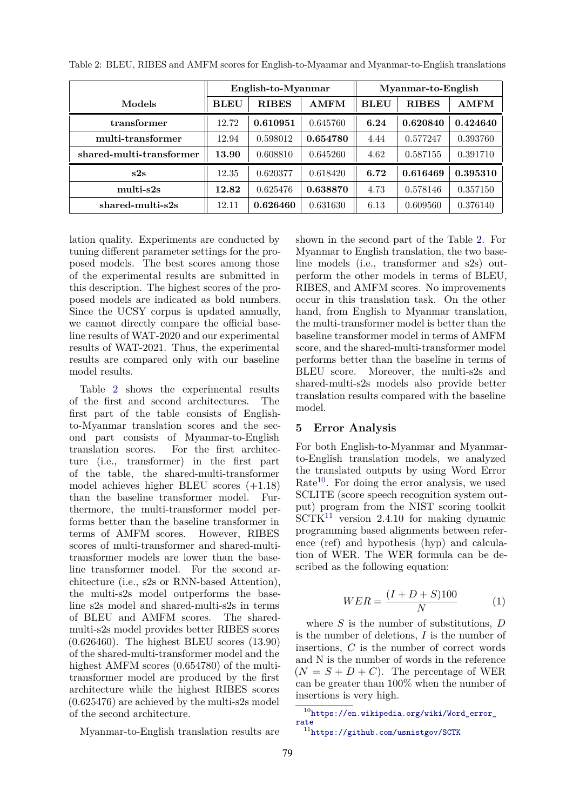|                          | English-to-Myanmar |              | Myanmar-to-English |             |              |             |
|--------------------------|--------------------|--------------|--------------------|-------------|--------------|-------------|
| Models                   | <b>BLEU</b>        | <b>RIBES</b> | <b>AMFM</b>        | <b>BLEU</b> | <b>RIBES</b> | <b>AMFM</b> |
| transformer              | 12.72              | 0.610951     | 0.645760           | 6.24        | 0.620840     | 0.424640    |
| multi-transformer        | 12.94              | 0.598012     | 0.654780           | 4.44        | 0.577247     | 0.393760    |
| shared-multi-transformer | 13.90              | 0.608810     | 0.645260           | 4.62        | 0.587155     | 0.391710    |
| s2s                      | 12.35              | 0.620377     | 0.618420           | 6.72        | 0.616469     | 0.395310    |
| multi-s2s                | 12.82              | 0.625476     | 0.638870           | 4.73        | 0.578146     | 0.357150    |
| shared-multi-s2s         | 12.11              | 0.626460     | 0.631630           | 6.13        | 0.609560     | 0.376140    |

<span id="page-5-1"></span>Table 2: BLEU, RIBES and AMFM scores for English-to-Myanmar and Myanmar-to-English translations

lation quality. Experiments are conducted by tuning different parameter settings for the proposed models. The best scores among those of the experimental results are submitted in this description. The highest scores of the proposed models are indicated as bold numbers. Since the UCSY corpus is updated annually, we cannot directly compare the official baseline results of WAT-2020 and our experimental results of WAT-2021. Thus, the experimental results are compared only with our baseline model results.

Table [2](#page-5-1) shows the experimental results of the first and second architectures. The first part of the table consists of Englishto-Myanmar translation scores and the second part consists of Myanmar-to-English translation scores. For the first architecture (i.e., transformer) in the first part of the table, the shared-multi-transformer model achieves higher BLEU scores (+1.18) than the baseline transformer model. Furthermore, the multi-transformer model performs better than the baseline transformer in terms of AMFM scores. However, RIBES scores of multi-transformer and shared-multitransformer models are lower than the baseline transformer model. For the second architecture (i.e., s2s or RNN-based Attention), the multi-s2s model outperforms the baseline s2s model and shared-multi-s2s in terms of BLEU and AMFM scores. The sharedmulti-s2s model provides better RIBES scores (0.626460). The highest BLEU scores (13.90) of the shared-multi-transformer model and the highest AMFM scores (0.654780) of the multitransformer model are produced by the first architecture while the highest RIBES scores (0.625476) are achieved by the multi-s2s model of the second architecture.

Myanmar-to-English translation results are

shown in the second part of the Table [2.](#page-5-1) For Myanmar to English translation, the two baseline models (i.e., transformer and s2s) outperform the other models in terms of BLEU, RIBES, and AMFM scores. No improvements occur in this translation task. On the other hand, from English to Myanmar translation, the multi-transformer model is better than the baseline transformer model in terms of AMFM score, and the shared-multi-transformer model performs better than the baseline in terms of BLEU score. Moreover, the multi-s2s and shared-multi-s2s models also provide better translation results compared with the baseline model.

### <span id="page-5-0"></span>**5 Error Analysis**

For both English-to-Myanmar and Myanmarto-English translation models, we analyzed the translated outputs by using Word Error Rate<sup>[10](#page-5-2)</sup>. For doing the error analysis, we used SCLITE (score speech recognition system output) program from the NIST scoring toolkit  $SCTK<sup>11</sup>$  $SCTK<sup>11</sup>$  $SCTK<sup>11</sup>$  version 2.4.10 for making dynamic programming based alignments between reference (ref) and hypothesis (hyp) and calculation of WER. The WER formula can be described as the following equation:

$$
WER = \frac{(I + D + S)100}{N} \tag{1}
$$

where *S* is the number of substitutions, *D* is the number of deletions, *I* is the number of insertions, *C* is the number of correct words and N is the number of words in the reference  $(N = S + D + C)$ . The percentage of WER can be greater than 100% when the number of insertions is very high.

<span id="page-5-2"></span><sup>10</sup>[https://en.wikipedia.org/wiki/Word\\_error\\_](https://en.wikipedia.org/wiki/Word_error_rate) [rate](https://en.wikipedia.org/wiki/Word_error_rate)

<span id="page-5-3"></span><sup>11</sup><https://github.com/usnistgov/SCTK>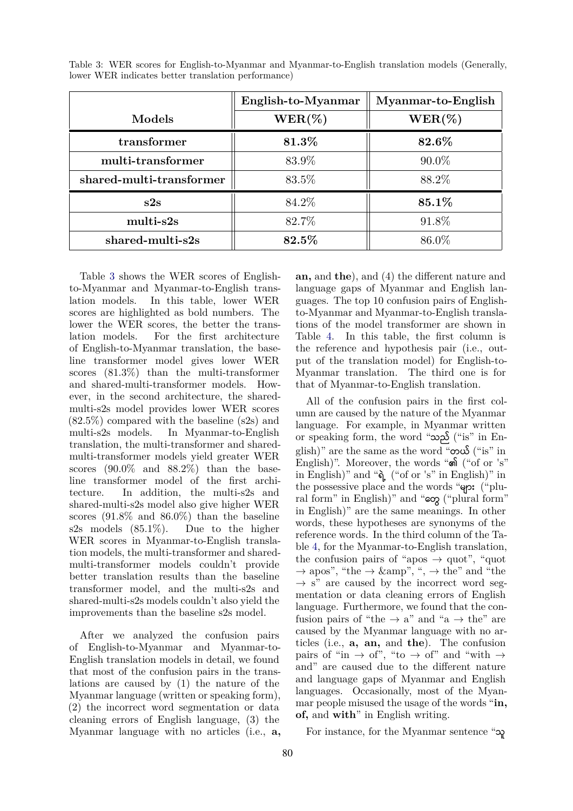|                          | English-to-Myanmar | Myanmar-to-English |  |
|--------------------------|--------------------|--------------------|--|
| Models                   | $WER(\%)$          | $WER(\%)$          |  |
| transformer              | 81.3%              | 82.6%              |  |
| multi-transformer        | 83.9%              | $90.0\%$           |  |
| shared-multi-transformer | 83.5%              | 88.2\%             |  |
| s2s                      | 84.2%              | 85.1%              |  |
| multi-s2s                | 82.7%              | 91.8%              |  |
| $shared$ -multi-s2s      | 82.5%              | 86.0%              |  |

<span id="page-6-0"></span>Table 3: WER scores for English-to-Myanmar and Myanmar-to-English translation models (Generally, lower WER indicates better translation performance)

Table [3](#page-6-0) shows the WER scores of Englishto-Myanmar and Myanmar-to-English translation models. In this table, lower WER scores are highlighted as bold numbers. The lower the WER scores, the better the translation models. For the first architecture of English-to-Myanmar translation, the baseline transformer model gives lower WER scores (81.3%) than the multi-transformer and shared-multi-transformer models. However, in the second architecture, the sharedmulti-s2s model provides lower WER scores (82.5%) compared with the baseline (s2s) and multi-s2s models. In Myanmar-to-English translation, the multi-transformer and sharedmulti-transformer models yield greater WER scores (90.0% and 88.2%) than the baseline transformer model of the first architecture. In addition, the multi-s2s and shared-multi-s2s model also give higher WER scores (91.8% and 86.0%) than the baseline s2s models (85.1%). Due to the higher WER scores in Myanmar-to-English translation models, the multi-transformer and sharedmulti-transformer models couldn't provide better translation results than the baseline transformer model, and the multi-s2s and shared-multi-s2s models couldn't also yield the improvements than the baseline s2s model.

After we analyzed the confusion pairs of English-to-Myanmar and Myanmar-to-English translation models in detail, we found that most of the confusion pairs in the translations are caused by (1) the nature of the Myanmar language (written or speaking form), (2) the incorrect word segmentation or data cleaning errors of English language, (3) the Myanmar language with no articles (i.e., **a,**

**an,** and **the**), and (4) the different nature and language gaps of Myanmar and English languages. The top 10 confusion pairs of Englishto-Myanmar and Myanmar-to-English translations of the model transformer are shown in Table [4.](#page-7-2) In this table, the first column is the reference and hypothesis pair (i.e., output of the translation model) for English-to-Myanmar translation. The third one is for that of Myanmar-to-English translation.

All of the confusion pairs in the first column are caused by the nature of the Myanmar language. For example, in Myanmar written or speaking form, the word "သညé ("is" in English)" are the same as the word " $\infty$  $\mathcal{S}$  ("is" in English)". Moreover, the words "၏ ("of or 's" in English)" and " $\delta$ <sub>6</sub> ("of or 's" in English)" in the possessive place and the words " $\varphi$ : ("plural form" in English)" and "εσχ ("plural form" in English)" are the same meanings. In other words, these hypotheses are synonyms of the reference words. In the third column of the Table [4,](#page-7-2) for the Myanmar-to-English translation, the confusion pairs of "apos  $\rightarrow$  quot", "quot" → apos", "the → &amp", ", → the" and "the *→* s" are caused by the incorrect word segmentation or data cleaning errors of English language. Furthermore, we found that the confusion pairs of "the  $\rightarrow$  a" and "a  $\rightarrow$  the" are caused by the Myanmar language with no articles (i.e., **a, an,** and **the**). The confusion pairs of "in  $\rightarrow$  of", "to  $\rightarrow$  of" and "with  $\rightarrow$ and" are caused due to the different nature and language gaps of Myanmar and English languages. Occasionally, most of the Myanmar people misused the usage of the words "**in, of,** and **with**" in English writing.

For instance, for the Myanmar sentence " $\infty$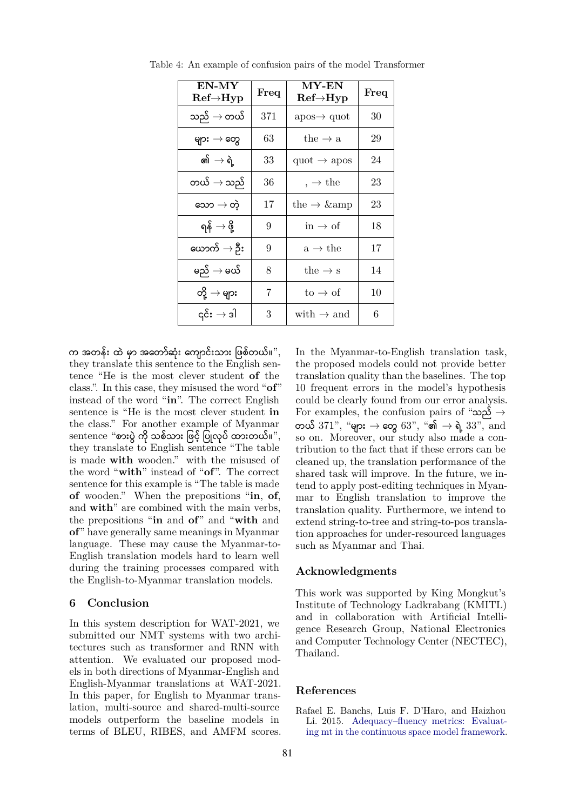| EN-MY<br>$\rm{Ref}\rightarrow$ Hyp | Freq | <b>MY-EN</b><br>$\text{Ref} \rightarrow \text{Hyp}$ | Freq |
|------------------------------------|------|-----------------------------------------------------|------|
| သည် $\rightarrow$ တယ်              | 371  | $apos \rightarrow quot$                             | 30   |
| များ $\rightarrow$ တွေ             | 63   | the $\rightarrow$ a                                 | 29   |
| କ୍ଷା $\rightarrow$ ရဲ့             | 33   | quot $\rightarrow$ apos                             | 24   |
| တယ် $\rightarrow$ သည်              | 36   | $, \rightarrow$ the                                 | 23   |
| သော $\rightarrow$ တဲ့              | 17   | the $\rightarrow$ & amp                             | 23   |
| ရန် $\rightarrow$ ဖို့             | 9    | $\text{in} \rightarrow \text{of}$                   | 18   |
| ယောက် $\rightarrow$ ဦး             | 9    | $a \rightarrow$ the                                 | 17   |
| မည် $\rightarrow$ မယ်              | 8    | the $\rightarrow$ s                                 | 14   |
| တို့ $\rightarrow$ များ            | 7    | $\text{to} \rightarrow \text{of}$                   | 10   |
| ၎င်း $\rightarrow$ ဒါ              | 3    | with $\rightarrow$ and                              | 6    |

<span id="page-7-2"></span>Table 4: An example of confusion pairs of the model Transformer

က အတန်း ထဲ မှာ အတော်ဆုံး ကျောင်းသား ဖြစ်တယ်။", they translate this sentence to the English sentence "He is the most clever student **of** the class.". In this case, they misused the word "**of**" instead of the word "**in**". The correct English sentence is "He is the most clever student **in** the class." For another example of Myanmar  $s$ entence "စားပွဲ ကို သစ်သား ဖြင့် ပြုလုပ် ထားတယ်။", they translate to English sentence "The table is made **with** wooden." with the misused of the word "**with**" instead of "**of**". The correct sentence for this example is "The table is made **of** wooden." When the prepositions "**in**, **of**, and **with**" are combined with the main verbs, the prepositions "**in** and **of**" and "**with** and **of**" have generally same meanings in Myanmar language. These may cause the Myanmar-to-English translation models hard to learn well during the training processes compared with the English-to-Myanmar translation models.

#### <span id="page-7-0"></span>**6 Conclusion**

In this system description for WAT-2021, we submitted our NMT systems with two architectures such as transformer and RNN with attention. We evaluated our proposed models in both directions of Myanmar-English and English-Myanmar translations at WAT-2021. In this paper, for English to Myanmar translation, multi-source and shared-multi-source models outperform the baseline models in terms of BLEU, RIBES, and AMFM scores. In the Myanmar-to-English translation task, the proposed models could not provide better translation quality than the baselines. The top 10 frequent errors in the model's hypothesis could be clearly found from our error analysis. For examples, the confusion pairs of "သညé *→* တယ် 371", "များ → တွေ 63", "၏ → ရဲ့ 33", and so on. Moreover, our study also made a contribution to the fact that if these errors can be cleaned up, the translation performance of the shared task will improve. In the future, we intend to apply post-editing techniques in Myanmar to English translation to improve the translation quality. Furthermore, we intend to extend string-to-tree and string-to-pos translation approaches for under-resourced languages such as Myanmar and Thai.

## **Acknowledgments**

This work was supported by King Mongkut's Institute of Technology Ladkrabang (KMITL) and in collaboration with Artificial Intelligence Research Group, National Electronics and Computer Technology Center (NECTEC), Thailand.

#### **References**

<span id="page-7-1"></span>Rafael E. Banchs, Luis F. D'Haro, and Haizhou Li. 2015. [Adequacy–fluency metrics: Evaluat](https://doi.org/10.1109/TASLP.2015.2405751)[ing mt in the continuous space model framework.](https://doi.org/10.1109/TASLP.2015.2405751)